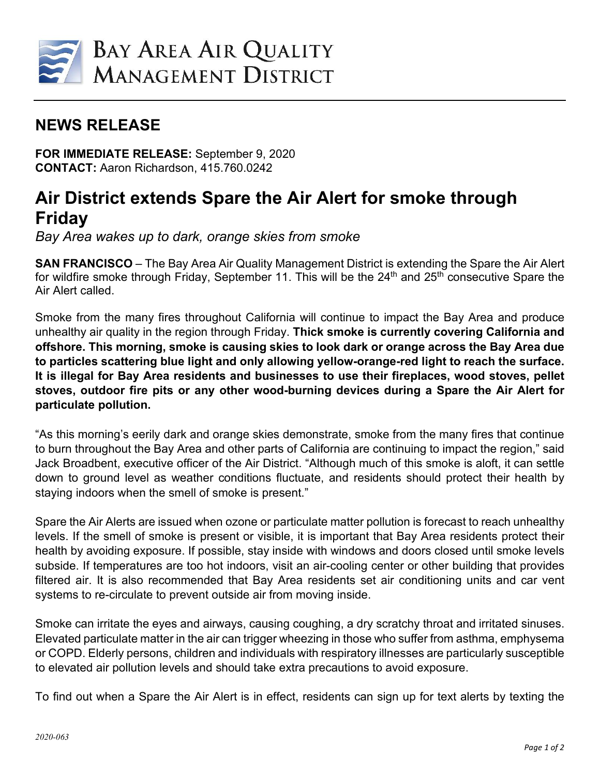

## **NEWS RELEASE**

**FOR IMMEDIATE RELEASE:** September 9, 2020 **CONTACT:** Aaron Richardson, 415.760.0242

## **Air District extends Spare the Air Alert for smoke through Friday**

*Bay Area wakes up to dark, orange skies from smoke*

**SAN FRANCISCO** – The Bay Area Air Quality Management District is extending the Spare the Air Alert for wildfire smoke through Friday, September 11. This will be the 24<sup>th</sup> and 25<sup>th</sup> consecutive Spare the Air Alert called.

Smoke from the many fires throughout California will continue to impact the Bay Area and produce unhealthy air quality in the region through Friday. **Thick smoke is currently covering California and offshore. This morning, smoke is causing skies to look dark or orange across the Bay Area due to particles scattering blue light and only allowing yellow-orange-red light to reach the surface. It is illegal for Bay Area residents and businesses to use their fireplaces, wood stoves, pellet stoves, outdoor fire pits or any other wood-burning devices during a Spare the Air Alert for particulate pollution.**

"As this morning's eerily dark and orange skies demonstrate, smoke from the many fires that continue to burn throughout the Bay Area and other parts of California are continuing to impact the region," said Jack Broadbent, executive officer of the Air District. "Although much of this smoke is aloft, it can settle down to ground level as weather conditions fluctuate, and residents should protect their health by staying indoors when the smell of smoke is present."

Spare the Air Alerts are issued when ozone or particulate matter pollution is forecast to reach unhealthy levels. If the smell of smoke is present or visible, it is important that Bay Area residents protect their health by avoiding exposure. If possible, stay inside with windows and doors closed until smoke levels subside. If temperatures are too hot indoors, visit an air-cooling center or other building that provides filtered air. It is also recommended that Bay Area residents set air conditioning units and car vent systems to re-circulate to prevent outside air from moving inside.

Smoke can irritate the eyes and airways, causing coughing, a dry scratchy throat and irritated sinuses. Elevated particulate matter in the air can trigger wheezing in those who suffer from asthma, emphysema or COPD. Elderly persons, children and individuals with respiratory illnesses are particularly susceptible to elevated air pollution levels and should take extra precautions to avoid exposure.

To find out when a Spare the Air Alert is in effect, residents can sign up for text alerts by texting the